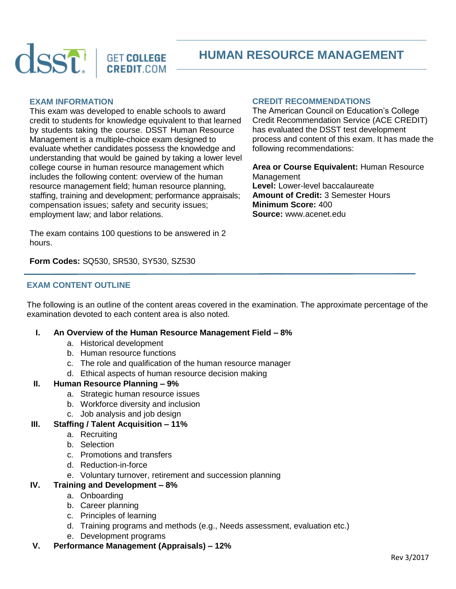

# **HUMAN RESOURCE MANAGEMENT**

## **EXAM INFORMATION**

This exam was developed to enable schools to award credit to students for knowledge equivalent to that learned by students taking the course. DSST Human Resource Management is a multiple-choice exam designed to evaluate whether candidates possess the knowledge and understanding that would be gained by taking a lower level college course in human resource management which includes the following content: overview of the human resource management field; human resource planning, staffing, training and development; performance appraisals; compensation issues; safety and security issues; employment law; and labor relations.

#### **CREDIT RECOMMENDATIONS** The American Council on Education's College

Credit Recommendation Service (ACE CREDIT) has evaluated the DSST test development process and content of this exam. It has made the following recommendations:

**Area or Course Equivalent:** Human Resource Management **Level:** Lower-level baccalaureate **Amount of Credit:** 3 Semester Hours **Minimum Score:** 400 **Source:** www.acenet.edu

The exam contains 100 questions to be answered in 2 hours.

**Form Codes:** SQ530, SR530, SY530, SZ530

#### **EXAM CONTENT OUTLINE**

The following is an outline of the content areas covered in the examination. The approximate percentage of the examination devoted to each content area is also noted.

- **I. An Overview of the Human Resource Management Field – 8%**
	- a. Historical development
	- b. Human resource functions
	- c. The role and qualification of the human resource manager
	- d. Ethical aspects of human resource decision making

#### **II. Human Resource Planning – 9%**

- a. Strategic human resource issues
- b. Workforce diversity and inclusion
- c. Job analysis and job design

#### **III. Staffing / Talent Acquisition – 11%**

- a. Recruiting
- b. Selection
- c. Promotions and transfers
- d. Reduction-in-force
- e. Voluntary turnover, retirement and succession planning

#### **IV. Training and Development – 8%**

- a. Onboarding
- b. Career planning
- c. Principles of learning
- d. Training programs and methods (e.g., Needs assessment, evaluation etc.)
- e. Development programs
- **V. Performance Management (Appraisals) – 12%**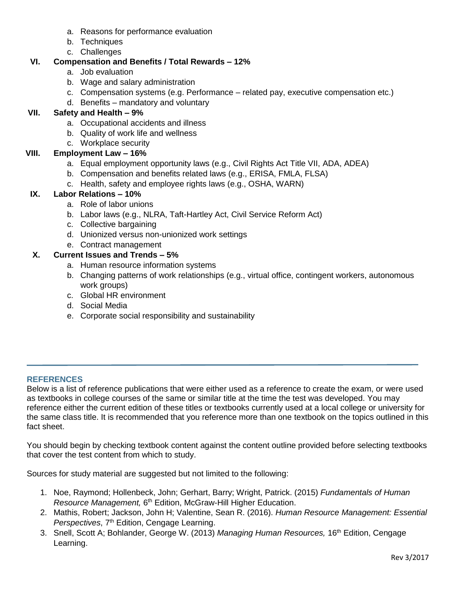- a. Reasons for performance evaluation
- b. Techniques
- c. Challenges

## **VI. Compensation and Benefits / Total Rewards – 12%**

- a. Job evaluation
- b. Wage and salary administration
- c. Compensation systems (e.g. Performance related pay, executive compensation etc.)
- d. Benefits mandatory and voluntary

## **VII. Safety and Health – 9%**

- a. Occupational accidents and illness
- b. Quality of work life and wellness
- c. Workplace security

## **VIII. Employment Law – 16%**

- a. Equal employment opportunity laws (e.g., Civil Rights Act Title VII, ADA, ADEA)
- b. Compensation and benefits related laws (e.g., ERISA, FMLA, FLSA)
- c. Health, safety and employee rights laws (e.g., OSHA, WARN)

## **IX. Labor Relations – 10%**

- a. Role of labor unions
- b. Labor laws (e.g., NLRA, Taft-Hartley Act, Civil Service Reform Act)
- c. Collective bargaining
- d. Unionized versus non-unionized work settings
- e. Contract management

## **X. Current Issues and Trends – 5%**

- a. Human resource information systems
- b. Changing patterns of work relationships (e.g., virtual office, contingent workers, autonomous work groups)
- c. Global HR environment
- d. Social Media
- e. Corporate social responsibility and sustainability

### **REFERENCES**

Below is a list of reference publications that were either used as a reference to create the exam, or were used as textbooks in college courses of the same or similar title at the time the test was developed. You may reference either the current edition of these titles or textbooks currently used at a local college or university for the same class title. It is recommended that you reference more than one textbook on the topics outlined in this fact sheet.

You should begin by checking textbook content against the content outline provided before selecting textbooks that cover the test content from which to study.

Sources for study material are suggested but not limited to the following:

- 1. Noe, Raymond; Hollenbeck, John; Gerhart, Barry; Wright, Patrick. (2015) *Fundamentals of Human*  Resource Management, 6<sup>th</sup> Edition, McGraw-Hill Higher Education.
- 2. Mathis, Robert; Jackson, John H; Valentine, Sean R. (2016). *Human Resource Management: Essential*  Perspectives, 7<sup>th</sup> Edition, Cengage Learning.
- 3. Snell, Scott A; Bohlander, George W. (2013) *Managing Human Resources,* 16th Edition, Cengage Learning.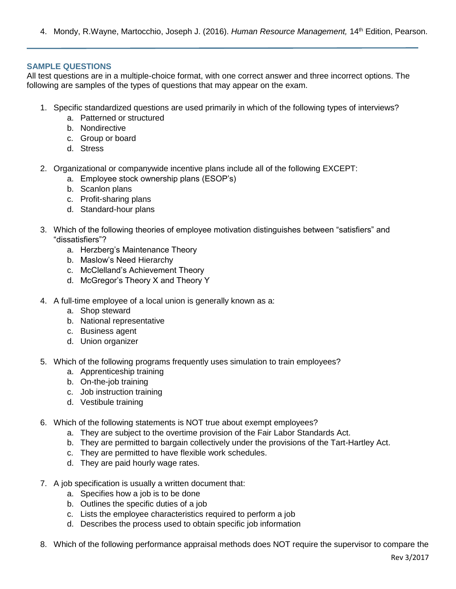4. Mondy, R.Wayne, Martocchio, Joseph J. (2016). *Human Resource Management,* 14th Edition, Pearson.

#### **SAMPLE QUESTIONS**

All test questions are in a multiple-choice format, with one correct answer and three incorrect options. The following are samples of the types of questions that may appear on the exam.

- 1. Specific standardized questions are used primarily in which of the following types of interviews?
	- a. Patterned or structured
	- b. Nondirective
	- c. Group or board
	- d. Stress
- 2. Organizational or companywide incentive plans include all of the following EXCEPT:
	- a. Employee stock ownership plans (ESOP's)
	- b. Scanlon plans
	- c. Profit-sharing plans
	- d. Standard-hour plans
- 3. Which of the following theories of employee motivation distinguishes between "satisfiers" and "dissatisfiers"?
	- a. Herzberg's Maintenance Theory
	- b. Maslow's Need Hierarchy
	- c. McClelland's Achievement Theory
	- d. McGregor's Theory X and Theory Y
- 4. A full-time employee of a local union is generally known as a:
	- a. Shop steward
	- b. National representative
	- c. Business agent
	- d. Union organizer
- 5. Which of the following programs frequently uses simulation to train employees?
	- a. Apprenticeship training
	- b. On-the-job training
	- c. Job instruction training
	- d. Vestibule training
- 6. Which of the following statements is NOT true about exempt employees?
	- a. They are subject to the overtime provision of the Fair Labor Standards Act.
	- b. They are permitted to bargain collectively under the provisions of the Tart-Hartley Act.
	- c. They are permitted to have flexible work schedules.
	- d. They are paid hourly wage rates.
- 7. A job specification is usually a written document that:
	- a. Specifies how a job is to be done
	- b. Outlines the specific duties of a job
	- c. Lists the employee characteristics required to perform a job
	- d. Describes the process used to obtain specific job information
- 8. Which of the following performance appraisal methods does NOT require the supervisor to compare the